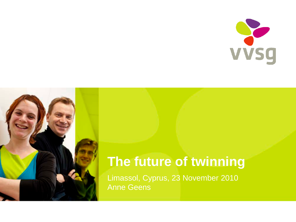



## **The future of twinning**

Limassol, Cyprus, 23 November 2010 Anne Geens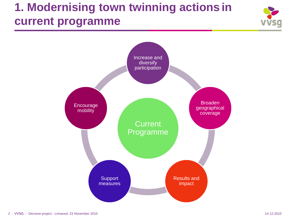## **1. Modernising town twinning actions in current programme**



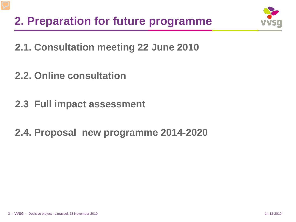

**2.1. Consultation meeting 22 June 2010**

**2.2. Online consultation**

**2.3 Full impact assessment**

**2.4. Proposal new programme 2014-2020**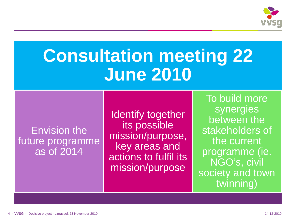

## **Consultation meeting 22 June 2010**

#### Envision the future programme as of 2014

Identify together its possible mission/purpose, key areas and actions to fulfil its mission/purpose

To build more synergies between the stakeholders of the current programme (ie. NGO's, civil society and town twinning)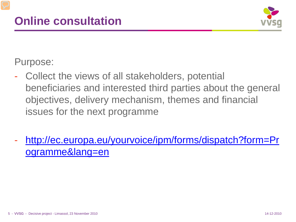

Purpose:

- Collect the views of all stakeholders, potential beneficiaries and interested third parties about the general objectives, delivery mechanism, themes and financial issues for the next programme
- [http://ec.europa.eu/yourvoice/ipm/forms/dispatch?form=Pr](http://ec.europa.eu/yourvoice/ipm/forms/dispatch?form=Programme&lang=en) [ogramme&lang=en](http://ec.europa.eu/yourvoice/ipm/forms/dispatch?form=Programme&lang=en)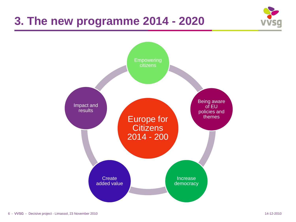### **3. The new programme 2014 - 2020**



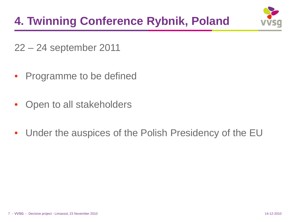## **4. Twinning Conference Rybnik, Poland**



22 – 24 september 2011

- Programme to be defined
- Open to all stakeholders
- Under the auspices of the Polish Presidency of the EU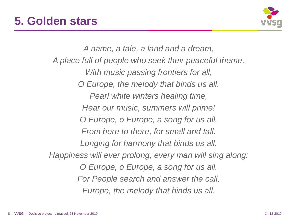

*A name, a tale, a land and a dream, A place full of people who seek their peaceful theme. With music passing frontiers for all, O Europe, the melody that binds us all. Pearl white winters healing time, Hear our music, summers will prime! O Europe, o Europe, a song for us all. From here to there, for small and tall. Longing for harmony that binds us all. Happiness will ever prolong, every man will sing along: O Europe, o Europe, a song for us all. For People search and answer the call, Europe, the melody that binds us all.*